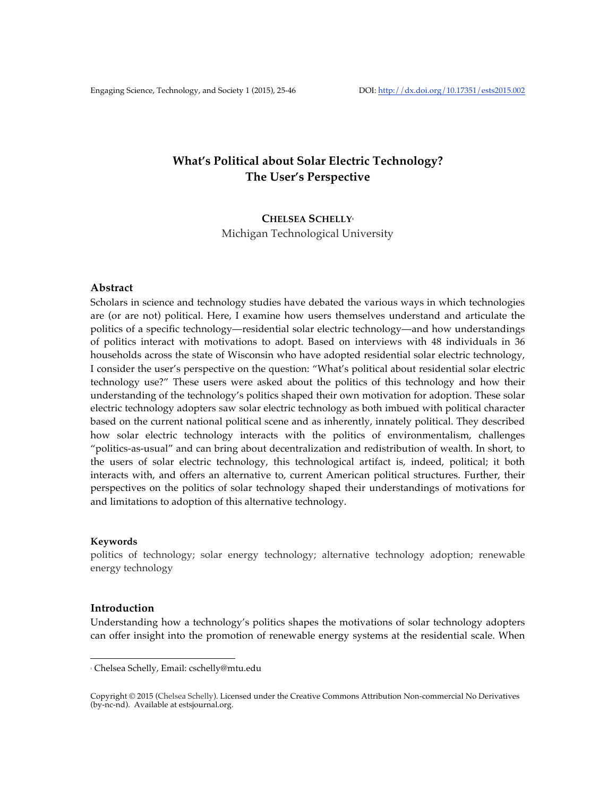# **What's Political about Solar Electric Technology? The User's Perspective**

# **CHELSEA SCHELLY1** Michigan Technological University

# **Abstract**

Scholars in science and technology studies have debated the various ways in which technologies are (or are not) political. Here, I examine how users themselves understand and articulate the politics of a specific technology—residential solar electric technology—and how understandings of politics interact with motivations to adopt. Based on interviews with 48 individuals in 36 households across the state of Wisconsin who have adopted residential solar electric technology, I consider the user's perspective on the question: "What's political about residential solar electric technology use?" These users were asked about the politics of this technology and how their understanding of the technology's politics shaped their own motivation for adoption. These solar electric technology adopters saw solar electric technology as both imbued with political character based on the current national political scene and as inherently, innately political. They described how solar electric technology interacts with the politics of environmentalism, challenges "politics-as-usual" and can bring about decentralization and redistribution of wealth. In short, to the users of solar electric technology, this technological artifact is, indeed, political; it both interacts with, and offers an alternative to, current American political structures. Further, their perspectives on the politics of solar technology shaped their understandings of motivations for and limitations to adoption of this alternative technology.

#### **Keywords**

politics of technology; solar energy technology; alternative technology adoption; renewable energy technology

#### **Introduction**

Understanding how a technology's politics shapes the motivations of solar technology adopters can offer insight into the promotion of renewable energy systems at the residential scale. When

 

<sup>1</sup> Chelsea Schelly, Email: cschelly@mtu.edu

Copyright © 2015 (Chelsea Schelly). Licensed under the Creative Commons Attribution Non-commercial No Derivatives (by-nc-nd). Available at estsjournal.org.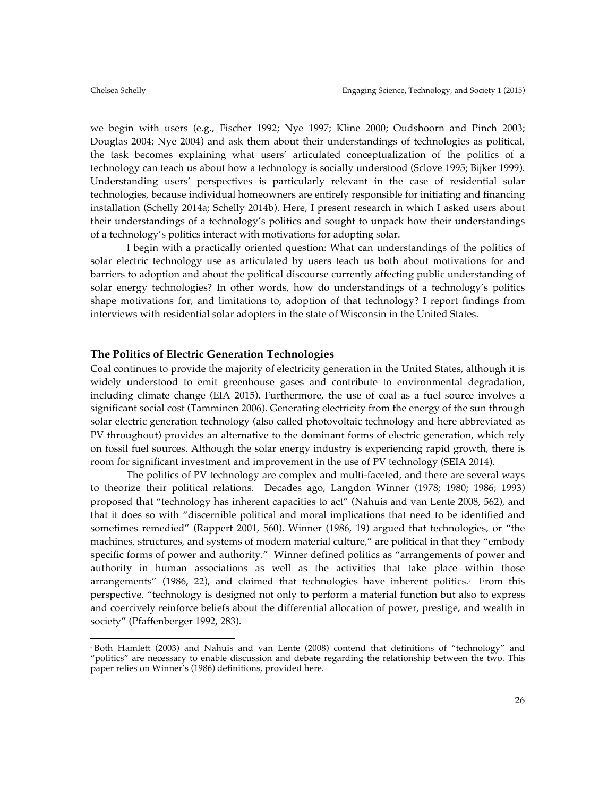we begin with users (e.g., Fischer 1992; Nye 1997; Kline 2000; Oudshoorn and Pinch 2003; Douglas 2004; Nye 2004) and ask them about their understandings of technologies as political, the task becomes explaining what users' articulated conceptualization of the politics of a technology can teach us about how a technology is socially understood (Sclove 1995; Bijker 1999). Understanding users' perspectives is particularly relevant in the case of residential solar technologies, because individual homeowners are entirely responsible for initiating and financing installation (Schelly 2014a; Schelly 2014b). Here, I present research in which I asked users about their understandings of a technology's politics and sought to unpack how their understandings of a technology's politics interact with motivations for adopting solar.

I begin with a practically oriented question: What can understandings of the politics of solar electric technology use as articulated by users teach us both about motivations for and barriers to adoption and about the political discourse currently affecting public understanding of solar energy technologies? In other words, how do understandings of a technology's politics shape motivations for, and limitations to, adoption of that technology? I report findings from interviews with residential solar adopters in the state of Wisconsin in the United States.

# **The Politics of Electric Generation Technologies**

 

Coal continues to provide the majority of electricity generation in the United States, although it is widely understood to emit greenhouse gases and contribute to environmental degradation, including climate change (EIA 2015). Furthermore, the use of coal as a fuel source involves a significant social cost (Tamminen 2006). Generating electricity from the energy of the sun through solar electric generation technology (also called photovoltaic technology and here abbreviated as PV throughout) provides an alternative to the dominant forms of electric generation, which rely on fossil fuel sources. Although the solar energy industry is experiencing rapid growth, there is room for significant investment and improvement in the use of PV technology (SEIA 2014).

The politics of PV technology are complex and multi-faceted, and there are several ways to theorize their political relations. Decades ago, Langdon Winner (1978; 1980; 1986; 1993) proposed that "technology has inherent capacities to act" (Nahuis and van Lente 2008, 562), and that it does so with "discernible political and moral implications that need to be identified and sometimes remedied" (Rappert 2001, 560). Winner (1986, 19) argued that technologies, or "the machines, structures, and systems of modern material culture," are political in that they "embody specific forms of power and authority." Winner defined politics as "arrangements of power and authority in human associations as well as the activities that take place within those arrangements" (1986, 22), and claimed that technologies have inherent politics.<sup>8</sup> From this perspective, "technology is designed not only to perform a material function but also to express and coercively reinforce beliefs about the differential allocation of power, prestige, and wealth in society" (Pfaffenberger 1992, 283).

<sup>2</sup> Both Hamlett (2003) and Nahuis and van Lente (2008) contend that definitions of "technology" and "politics" are necessary to enable discussion and debate regarding the relationship between the two. This paper relies on Winner's (1986) definitions, provided here.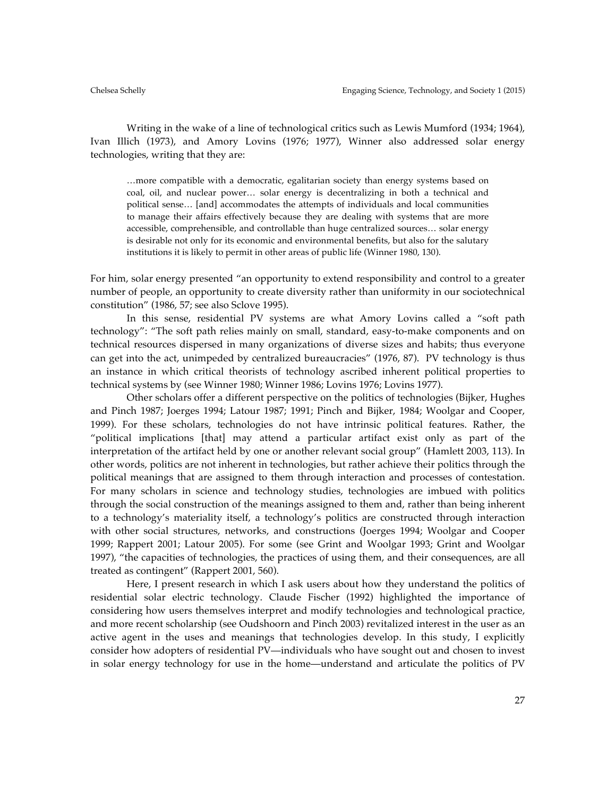Writing in the wake of a line of technological critics such as Lewis Mumford (1934; 1964), Ivan Illich (1973), and Amory Lovins (1976; 1977), Winner also addressed solar energy technologies, writing that they are:

…more compatible with a democratic, egalitarian society than energy systems based on coal, oil, and nuclear power… solar energy is decentralizing in both a technical and political sense… [and] accommodates the attempts of individuals and local communities to manage their affairs effectively because they are dealing with systems that are more accessible, comprehensible, and controllable than huge centralized sources… solar energy is desirable not only for its economic and environmental benefits, but also for the salutary institutions it is likely to permit in other areas of public life (Winner 1980, 130).

For him, solar energy presented "an opportunity to extend responsibility and control to a greater number of people, an opportunity to create diversity rather than uniformity in our sociotechnical constitution" (1986, 57; see also Sclove 1995).

In this sense, residential PV systems are what Amory Lovins called a "soft path technology": "The soft path relies mainly on small, standard, easy-to-make components and on technical resources dispersed in many organizations of diverse sizes and habits; thus everyone can get into the act, unimpeded by centralized bureaucracies" (1976, 87). PV technology is thus an instance in which critical theorists of technology ascribed inherent political properties to technical systems by (see Winner 1980; Winner 1986; Lovins 1976; Lovins 1977).

Other scholars offer a different perspective on the politics of technologies (Bijker, Hughes and Pinch 1987; Joerges 1994; Latour 1987; 1991; Pinch and Bijker, 1984; Woolgar and Cooper, 1999). For these scholars, technologies do not have intrinsic political features. Rather, the "political implications [that] may attend a particular artifact exist only as part of the interpretation of the artifact held by one or another relevant social group" (Hamlett 2003, 113). In other words, politics are not inherent in technologies, but rather achieve their politics through the political meanings that are assigned to them through interaction and processes of contestation. For many scholars in science and technology studies, technologies are imbued with politics through the social construction of the meanings assigned to them and, rather than being inherent to a technology's materiality itself, a technology's politics are constructed through interaction with other social structures, networks, and constructions (Joerges 1994; Woolgar and Cooper 1999; Rappert 2001; Latour 2005). For some (see Grint and Woolgar 1993; Grint and Woolgar 1997), "the capacities of technologies, the practices of using them, and their consequences, are all treated as contingent" (Rappert 2001, 560).

Here, I present research in which I ask users about how they understand the politics of residential solar electric technology. Claude Fischer (1992) highlighted the importance of considering how users themselves interpret and modify technologies and technological practice, and more recent scholarship (see Oudshoorn and Pinch 2003) revitalized interest in the user as an active agent in the uses and meanings that technologies develop. In this study, I explicitly consider how adopters of residential PV—individuals who have sought out and chosen to invest in solar energy technology for use in the home—understand and articulate the politics of PV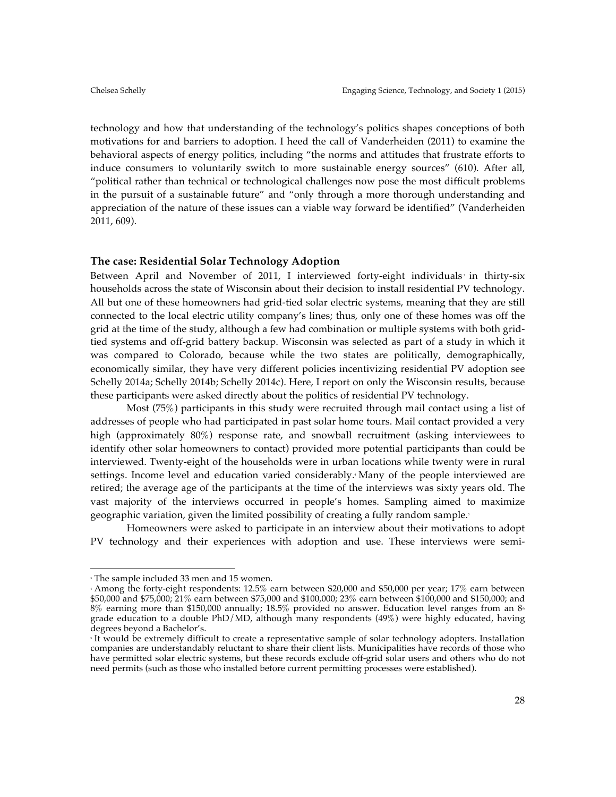technology and how that understanding of the technology's politics shapes conceptions of both motivations for and barriers to adoption. I heed the call of Vanderheiden (2011) to examine the behavioral aspects of energy politics, including "the norms and attitudes that frustrate efforts to induce consumers to voluntarily switch to more sustainable energy sources" (610). After all, "political rather than technical or technological challenges now pose the most difficult problems in the pursuit of a sustainable future" and "only through a more thorough understanding and appreciation of the nature of these issues can a viable way forward be identified" (Vanderheiden 2011, 609).

## **The case: Residential Solar Technology Adoption**

Between April and November of 2011, I interviewed forty-eight individuals in thirty-six households across the state of Wisconsin about their decision to install residential PV technology. All but one of these homeowners had grid-tied solar electric systems, meaning that they are still connected to the local electric utility company's lines; thus, only one of these homes was off the grid at the time of the study, although a few had combination or multiple systems with both gridtied systems and off-grid battery backup. Wisconsin was selected as part of a study in which it was compared to Colorado, because while the two states are politically, demographically, economically similar, they have very different policies incentivizing residential PV adoption see Schelly 2014a; Schelly 2014b; Schelly 2014c). Here, I report on only the Wisconsin results, because these participants were asked directly about the politics of residential PV technology.

Most (75%) participants in this study were recruited through mail contact using a list of addresses of people who had participated in past solar home tours. Mail contact provided a very high (approximately 80%) response rate, and snowball recruitment (asking interviewees to identify other solar homeowners to contact) provided more potential participants than could be interviewed. Twenty-eight of the households were in urban locations while twenty were in rural settings. Income level and education varied considerably. Many of the people interviewed are retired; the average age of the participants at the time of the interviews was sixty years old. The vast majority of the interviews occurred in people's homes. Sampling aimed to maximize geographic variation, given the limited possibility of creating a fully random sample.<sup>5</sup>

Homeowners were asked to participate in an interview about their motivations to adopt PV technology and their experiences with adoption and use. These interviews were semi-

 

<sup>3</sup> The sample included 33 men and 15 women.

<sup>4</sup> Among the forty-eight respondents: 12.5% earn between \$20,000 and \$50,000 per year; 17% earn between \$50,000 and \$75,000; 21% earn between \$75,000 and \$100,000; 23% earn between \$100,000 and \$150,000; and  $8\%$  earning more than \$150,000 annually; 18.5% provided no answer. Education level ranges from an  $8<sup>*</sup>$ grade education to a double PhD/MD, although many respondents  $(49%)$  were highly educated, having degrees beyond a Bachelor's.

It would be extremely difficult to create a representative sample of solar technology adopters. Installation companies are understandably reluctant to share their client lists. Municipalities have records of those who have permitted solar electric systems, but these records exclude off-grid solar users and others who do not need permits (such as those who installed before current permitting processes were established).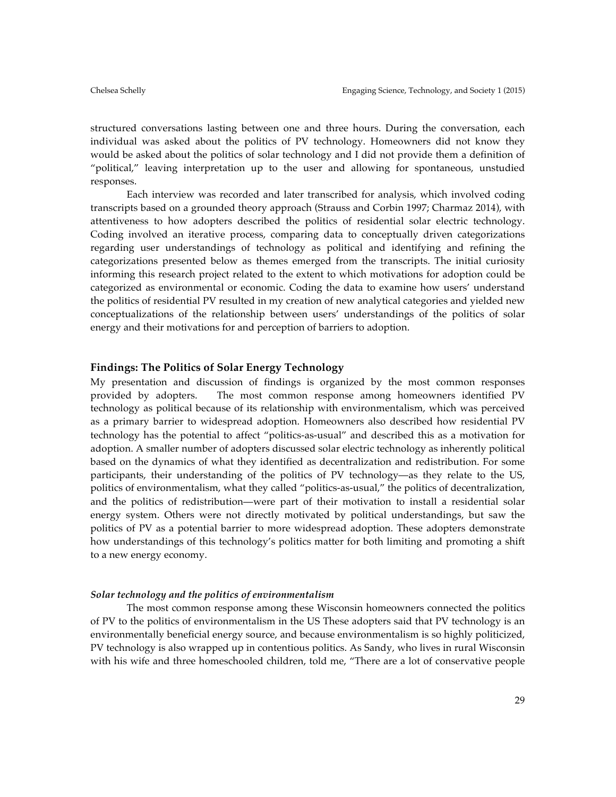structured conversations lasting between one and three hours. During the conversation, each individual was asked about the politics of PV technology. Homeowners did not know they would be asked about the politics of solar technology and I did not provide them a definition of "political," leaving interpretation up to the user and allowing for spontaneous, unstudied responses.

Each interview was recorded and later transcribed for analysis, which involved coding transcripts based on a grounded theory approach (Strauss and Corbin 1997; Charmaz 2014), with attentiveness to how adopters described the politics of residential solar electric technology. Coding involved an iterative process, comparing data to conceptually driven categorizations regarding user understandings of technology as political and identifying and refining the categorizations presented below as themes emerged from the transcripts. The initial curiosity informing this research project related to the extent to which motivations for adoption could be categorized as environmental or economic. Coding the data to examine how users' understand the politics of residential PV resulted in my creation of new analytical categories and yielded new conceptualizations of the relationship between users' understandings of the politics of solar energy and their motivations for and perception of barriers to adoption.

#### **Findings: The Politics of Solar Energy Technology**

My presentation and discussion of findings is organized by the most common responses provided by adopters. The most common response among homeowners identified PV technology as political because of its relationship with environmentalism, which was perceived as a primary barrier to widespread adoption. Homeowners also described how residential PV technology has the potential to affect "politics-as-usual" and described this as a motivation for adoption. A smaller number of adopters discussed solar electric technology as inherently political based on the dynamics of what they identified as decentralization and redistribution. For some participants, their understanding of the politics of PV technology—as they relate to the US, politics of environmentalism, what they called "politics-as-usual," the politics of decentralization, and the politics of redistribution—were part of their motivation to install a residential solar energy system. Others were not directly motivated by political understandings, but saw the politics of PV as a potential barrier to more widespread adoption. These adopters demonstrate how understandings of this technology's politics matter for both limiting and promoting a shift to a new energy economy.

### *Solar technology and the politics of environmentalism*

The most common response among these Wisconsin homeowners connected the politics of PV to the politics of environmentalism in the US These adopters said that PV technology is an environmentally beneficial energy source, and because environmentalism is so highly politicized, PV technology is also wrapped up in contentious politics. As Sandy, who lives in rural Wisconsin with his wife and three homeschooled children, told me, "There are a lot of conservative people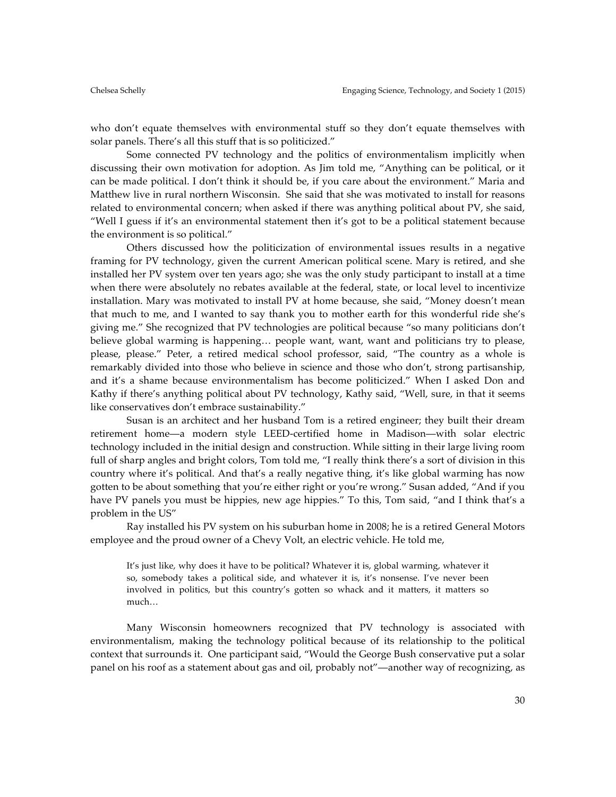who don't equate themselves with environmental stuff so they don't equate themselves with solar panels. There's all this stuff that is so politicized."

Some connected PV technology and the politics of environmentalism implicitly when discussing their own motivation for adoption. As Jim told me, "Anything can be political, or it can be made political. I don't think it should be, if you care about the environment." Maria and Matthew live in rural northern Wisconsin. She said that she was motivated to install for reasons related to environmental concern; when asked if there was anything political about PV, she said, "Well I guess if it's an environmental statement then it's got to be a political statement because the environment is so political."

Others discussed how the politicization of environmental issues results in a negative framing for PV technology, given the current American political scene. Mary is retired, and she installed her PV system over ten years ago; she was the only study participant to install at a time when there were absolutely no rebates available at the federal, state, or local level to incentivize installation. Mary was motivated to install PV at home because, she said, "Money doesn't mean that much to me, and I wanted to say thank you to mother earth for this wonderful ride she's giving me." She recognized that PV technologies are political because "so many politicians don't believe global warming is happening… people want, want, want and politicians try to please, please, please." Peter, a retired medical school professor, said, "The country as a whole is remarkably divided into those who believe in science and those who don't, strong partisanship, and it's a shame because environmentalism has become politicized." When I asked Don and Kathy if there's anything political about PV technology, Kathy said, "Well, sure, in that it seems like conservatives don't embrace sustainability."

Susan is an architect and her husband Tom is a retired engineer; they built their dream retirement home—a modern style LEED-certified home in Madison—with solar electric technology included in the initial design and construction. While sitting in their large living room full of sharp angles and bright colors, Tom told me, "I really think there's a sort of division in this country where it's political. And that's a really negative thing, it's like global warming has now gotten to be about something that you're either right or you're wrong." Susan added, "And if you have PV panels you must be hippies, new age hippies." To this, Tom said, "and I think that's a problem in the US"

Ray installed his PV system on his suburban home in 2008; he is a retired General Motors employee and the proud owner of a Chevy Volt, an electric vehicle. He told me,

It's just like, why does it have to be political? Whatever it is, global warming, whatever it so, somebody takes a political side, and whatever it is, it's nonsense. I've never been involved in politics, but this country's gotten so whack and it matters, it matters so much…

Many Wisconsin homeowners recognized that PV technology is associated with environmentalism, making the technology political because of its relationship to the political context that surrounds it. One participant said, "Would the George Bush conservative put a solar panel on his roof as a statement about gas and oil, probably not"—another way of recognizing, as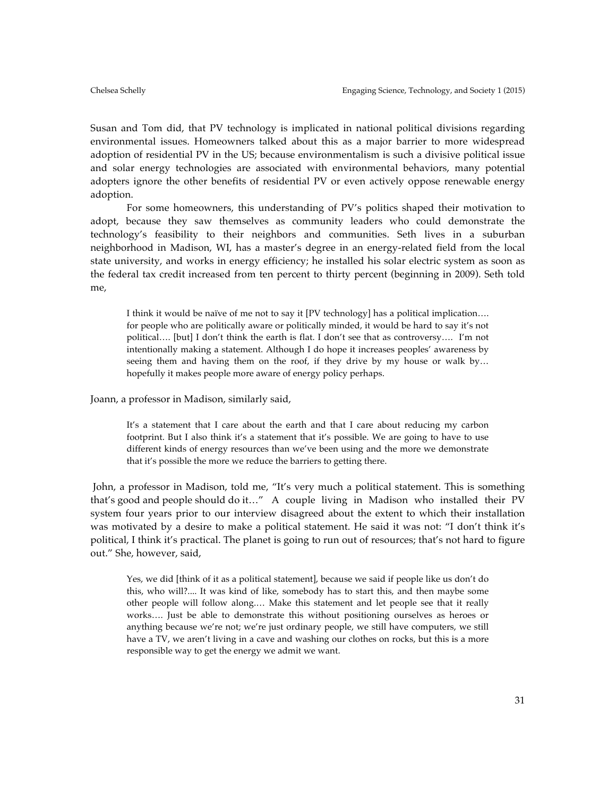Susan and Tom did, that PV technology is implicated in national political divisions regarding environmental issues. Homeowners talked about this as a major barrier to more widespread adoption of residential PV in the US; because environmentalism is such a divisive political issue and solar energy technologies are associated with environmental behaviors, many potential adopters ignore the other benefits of residential PV or even actively oppose renewable energy adoption.

For some homeowners, this understanding of PV's politics shaped their motivation to adopt, because they saw themselves as community leaders who could demonstrate the technology's feasibility to their neighbors and communities. Seth lives in a suburban neighborhood in Madison, WI, has a master's degree in an energy-related field from the local state university, and works in energy efficiency; he installed his solar electric system as soon as the federal tax credit increased from ten percent to thirty percent (beginning in 2009). Seth told me,

I think it would be naïve of me not to say it [PV technology] has a political implication…. for people who are politically aware or politically minded, it would be hard to say it's not political…. [but] I don't think the earth is flat. I don't see that as controversy…. I'm not intentionally making a statement. Although I do hope it increases peoples' awareness by seeing them and having them on the roof, if they drive by my house or walk by… hopefully it makes people more aware of energy policy perhaps.

Joann, a professor in Madison, similarly said,

It's a statement that I care about the earth and that I care about reducing my carbon footprint. But I also think it's a statement that it's possible. We are going to have to use different kinds of energy resources than we've been using and the more we demonstrate that it's possible the more we reduce the barriers to getting there.

John, a professor in Madison, told me, "It's very much a political statement. This is something that's good and people should do it…" A couple living in Madison who installed their PV system four years prior to our interview disagreed about the extent to which their installation was motivated by a desire to make a political statement. He said it was not: "I don't think it's political, I think it's practical. The planet is going to run out of resources; that's not hard to figure out." She, however, said,

Yes, we did [think of it as a political statement], because we said if people like us don't do this, who will?.... It was kind of like, somebody has to start this, and then maybe some other people will follow along.… Make this statement and let people see that it really works…. Just be able to demonstrate this without positioning ourselves as heroes or anything because we're not; we're just ordinary people, we still have computers, we still have a TV, we aren't living in a cave and washing our clothes on rocks, but this is a more responsible way to get the energy we admit we want.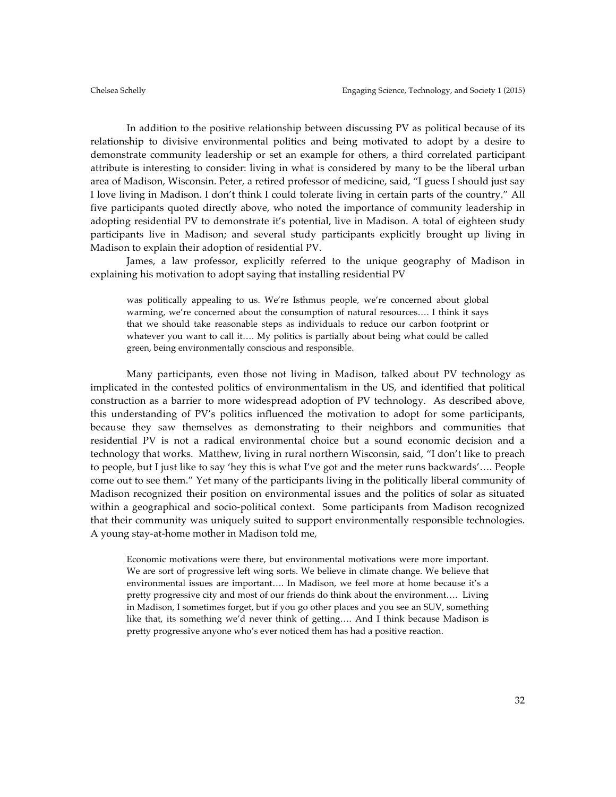In addition to the positive relationship between discussing PV as political because of its relationship to divisive environmental politics and being motivated to adopt by a desire to demonstrate community leadership or set an example for others, a third correlated participant attribute is interesting to consider: living in what is considered by many to be the liberal urban area of Madison, Wisconsin. Peter, a retired professor of medicine, said, "I guess I should just say I love living in Madison. I don't think I could tolerate living in certain parts of the country." All five participants quoted directly above, who noted the importance of community leadership in adopting residential PV to demonstrate it's potential, live in Madison. A total of eighteen study participants live in Madison; and several study participants explicitly brought up living in Madison to explain their adoption of residential PV.

James, a law professor, explicitly referred to the unique geography of Madison in explaining his motivation to adopt saying that installing residential PV

was politically appealing to us. We're Isthmus people, we're concerned about global warming, we're concerned about the consumption of natural resources…. I think it says that we should take reasonable steps as individuals to reduce our carbon footprint or whatever you want to call it.... My politics is partially about being what could be called green, being environmentally conscious and responsible.

Many participants, even those not living in Madison, talked about PV technology as implicated in the contested politics of environmentalism in the US, and identified that political construction as a barrier to more widespread adoption of PV technology. As described above, this understanding of PV's politics influenced the motivation to adopt for some participants, because they saw themselves as demonstrating to their neighbors and communities that residential PV is not a radical environmental choice but a sound economic decision and a technology that works. Matthew, living in rural northern Wisconsin, said, "I don't like to preach to people, but I just like to say 'hey this is what I've got and the meter runs backwards'…. People come out to see them." Yet many of the participants living in the politically liberal community of Madison recognized their position on environmental issues and the politics of solar as situated within a geographical and socio-political context. Some participants from Madison recognized that their community was uniquely suited to support environmentally responsible technologies. A young stay-at-home mother in Madison told me,

Economic motivations were there, but environmental motivations were more important. We are sort of progressive left wing sorts. We believe in climate change. We believe that environmental issues are important…. In Madison, we feel more at home because it's a pretty progressive city and most of our friends do think about the environment…. Living in Madison, I sometimes forget, but if you go other places and you see an SUV, something like that, its something we'd never think of getting…. And I think because Madison is pretty progressive anyone who's ever noticed them has had a positive reaction.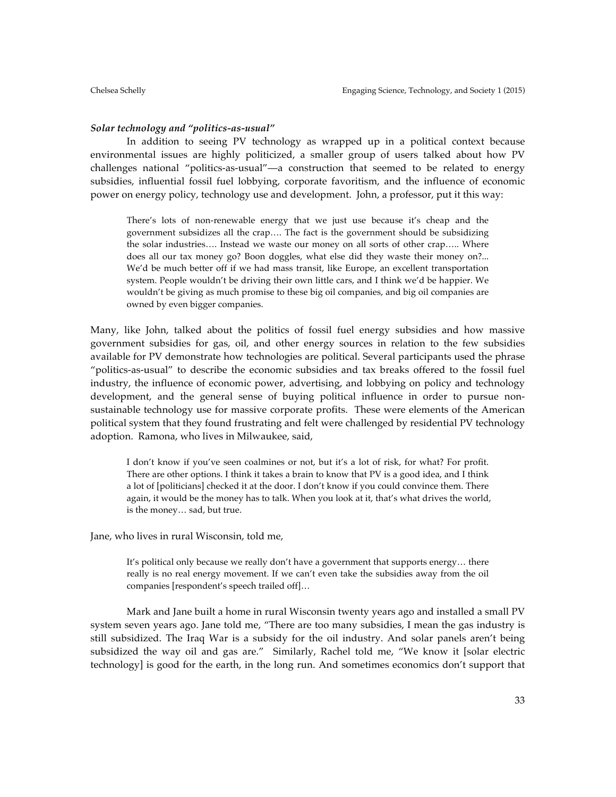#### *Solar technology and "politics-as-usual"*

In addition to seeing PV technology as wrapped up in a political context because environmental issues are highly politicized, a smaller group of users talked about how PV challenges national "politics-as-usual"—a construction that seemed to be related to energy subsidies, influential fossil fuel lobbying, corporate favoritism, and the influence of economic power on energy policy, technology use and development. John, a professor, put it this way:

There's lots of non-renewable energy that we just use because it's cheap and the government subsidizes all the crap…. The fact is the government should be subsidizing the solar industries…. Instead we waste our money on all sorts of other crap….. Where does all our tax money go? Boon doggles, what else did they waste their money on?... We'd be much better off if we had mass transit, like Europe, an excellent transportation system. People wouldn't be driving their own little cars, and I think we'd be happier. We wouldn't be giving as much promise to these big oil companies, and big oil companies are owned by even bigger companies.

Many, like John, talked about the politics of fossil fuel energy subsidies and how massive government subsidies for gas, oil, and other energy sources in relation to the few subsidies available for PV demonstrate how technologies are political. Several participants used the phrase "politics-as-usual" to describe the economic subsidies and tax breaks offered to the fossil fuel industry, the influence of economic power, advertising, and lobbying on policy and technology development, and the general sense of buying political influence in order to pursue nonsustainable technology use for massive corporate profits. These were elements of the American political system that they found frustrating and felt were challenged by residential PV technology adoption. Ramona, who lives in Milwaukee, said,

I don't know if you've seen coalmines or not, but it's a lot of risk, for what? For profit. There are other options. I think it takes a brain to know that PV is a good idea, and I think a lot of [politicians] checked it at the door. I don't know if you could convince them. There again, it would be the money has to talk. When you look at it, that's what drives the world, is the money… sad, but true.

Jane, who lives in rural Wisconsin, told me,

It's political only because we really don't have a government that supports energy… there really is no real energy movement. If we can't even take the subsidies away from the oil companies [respondent's speech trailed off]…

Mark and Jane built a home in rural Wisconsin twenty years ago and installed a small PV system seven years ago. Jane told me, "There are too many subsidies, I mean the gas industry is still subsidized. The Iraq War is a subsidy for the oil industry. And solar panels aren't being subsidized the way oil and gas are." Similarly, Rachel told me, "We know it [solar electric technology] is good for the earth, in the long run. And sometimes economics don't support that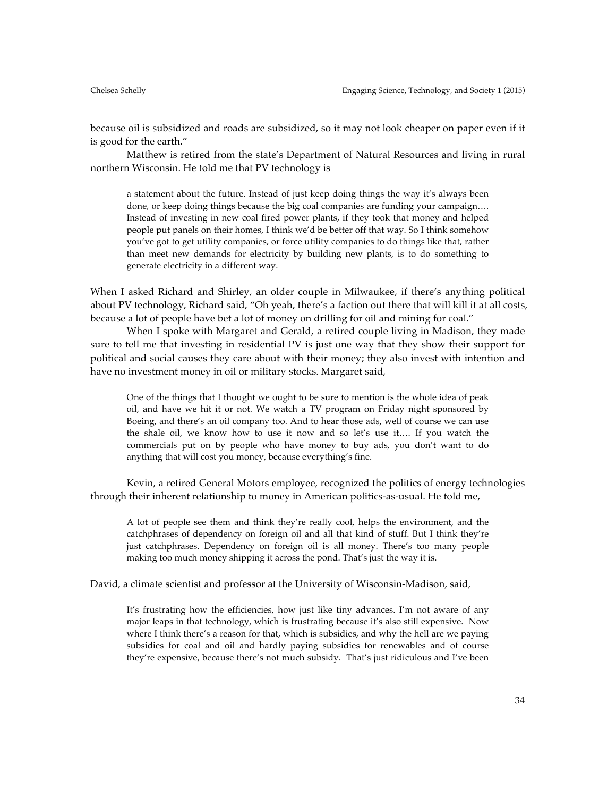because oil is subsidized and roads are subsidized, so it may not look cheaper on paper even if it is good for the earth."

Matthew is retired from the state's Department of Natural Resources and living in rural northern Wisconsin. He told me that PV technology is

a statement about the future. Instead of just keep doing things the way it's always been done, or keep doing things because the big coal companies are funding your campaign…. Instead of investing in new coal fired power plants, if they took that money and helped people put panels on their homes, I think we'd be better off that way. So I think somehow you've got to get utility companies, or force utility companies to do things like that, rather than meet new demands for electricity by building new plants, is to do something to generate electricity in a different way.

When I asked Richard and Shirley, an older couple in Milwaukee, if there's anything political about PV technology, Richard said, "Oh yeah, there's a faction out there that will kill it at all costs, because a lot of people have bet a lot of money on drilling for oil and mining for coal."

When I spoke with Margaret and Gerald, a retired couple living in Madison, they made sure to tell me that investing in residential PV is just one way that they show their support for political and social causes they care about with their money; they also invest with intention and have no investment money in oil or military stocks. Margaret said,

One of the things that I thought we ought to be sure to mention is the whole idea of peak oil, and have we hit it or not. We watch a TV program on Friday night sponsored by Boeing, and there's an oil company too. And to hear those ads, well of course we can use the shale oil, we know how to use it now and so let's use it…. If you watch the commercials put on by people who have money to buy ads, you don't want to do anything that will cost you money, because everything's fine.

Kevin, a retired General Motors employee, recognized the politics of energy technologies through their inherent relationship to money in American politics-as-usual. He told me,

A lot of people see them and think they're really cool, helps the environment, and the catchphrases of dependency on foreign oil and all that kind of stuff. But I think they're just catchphrases. Dependency on foreign oil is all money. There's too many people making too much money shipping it across the pond. That's just the way it is.

David, a climate scientist and professor at the University of Wisconsin-Madison, said,

It's frustrating how the efficiencies, how just like tiny advances. I'm not aware of any major leaps in that technology, which is frustrating because it's also still expensive. Now where I think there's a reason for that, which is subsidies, and why the hell are we paying subsidies for coal and oil and hardly paying subsidies for renewables and of course they're expensive, because there's not much subsidy. That's just ridiculous and I've been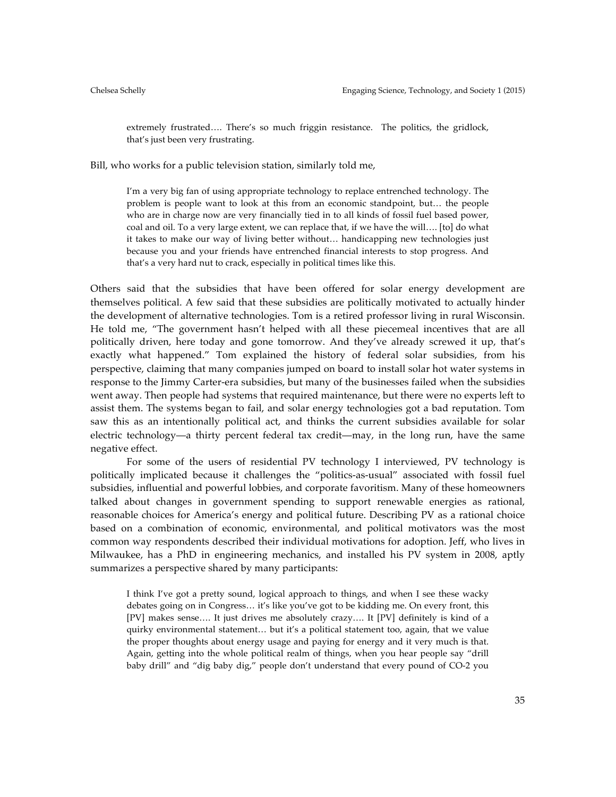extremely frustrated…. There's so much friggin resistance. The politics, the gridlock, that's just been very frustrating.

Bill, who works for a public television station, similarly told me,

I'm a very big fan of using appropriate technology to replace entrenched technology. The problem is people want to look at this from an economic standpoint, but… the people who are in charge now are very financially tied in to all kinds of fossil fuel based power, coal and oil. To a very large extent, we can replace that, if we have the will…. [to] do what it takes to make our way of living better without… handicapping new technologies just because you and your friends have entrenched financial interests to stop progress. And that's a very hard nut to crack, especially in political times like this.

Others said that the subsidies that have been offered for solar energy development are themselves political. A few said that these subsidies are politically motivated to actually hinder the development of alternative technologies. Tom is a retired professor living in rural Wisconsin. He told me, "The government hasn't helped with all these piecemeal incentives that are all politically driven, here today and gone tomorrow. And they've already screwed it up, that's exactly what happened." Tom explained the history of federal solar subsidies, from his perspective, claiming that many companies jumped on board to install solar hot water systems in response to the Jimmy Carter-era subsidies, but many of the businesses failed when the subsidies went away. Then people had systems that required maintenance, but there were no experts left to assist them. The systems began to fail, and solar energy technologies got a bad reputation. Tom saw this as an intentionally political act, and thinks the current subsidies available for solar electric technology—a thirty percent federal tax credit—may, in the long run, have the same negative effect.

For some of the users of residential PV technology I interviewed, PV technology is politically implicated because it challenges the "politics-as-usual" associated with fossil fuel subsidies, influential and powerful lobbies, and corporate favoritism. Many of these homeowners talked about changes in government spending to support renewable energies as rational, reasonable choices for America's energy and political future. Describing PV as a rational choice based on a combination of economic, environmental, and political motivators was the most common way respondents described their individual motivations for adoption. Jeff, who lives in Milwaukee, has a PhD in engineering mechanics, and installed his PV system in 2008, aptly summarizes a perspective shared by many participants:

I think I've got a pretty sound, logical approach to things, and when I see these wacky debates going on in Congress… it's like you've got to be kidding me. On every front, this [PV] makes sense…. It just drives me absolutely crazy…. It [PV] definitely is kind of a quirky environmental statement… but it's a political statement too, again, that we value the proper thoughts about energy usage and paying for energy and it very much is that. Again, getting into the whole political realm of things, when you hear people say "drill baby drill" and "dig baby dig," people don't understand that every pound of CO-2 you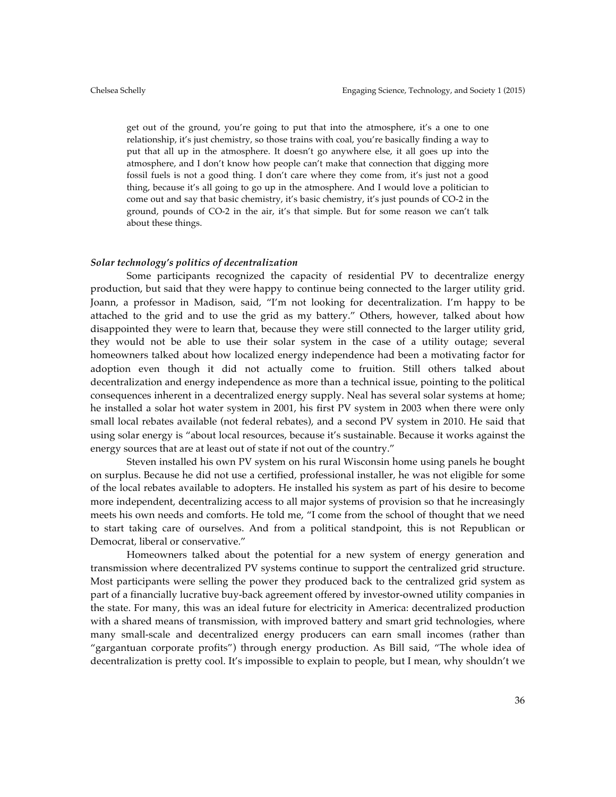get out of the ground, you're going to put that into the atmosphere, it's a one to one relationship, it's just chemistry, so those trains with coal, you're basically finding a way to put that all up in the atmosphere. It doesn't go anywhere else, it all goes up into the atmosphere, and I don't know how people can't make that connection that digging more fossil fuels is not a good thing. I don't care where they come from, it's just not a good thing, because it's all going to go up in the atmosphere. And I would love a politician to come out and say that basic chemistry, it's basic chemistry, it's just pounds of CO-2 in the ground, pounds of CO-2 in the air, it's that simple. But for some reason we can't talk about these things.

#### *Solar technology's politics of decentralization*

Some participants recognized the capacity of residential PV to decentralize energy production, but said that they were happy to continue being connected to the larger utility grid. Joann, a professor in Madison, said, "I'm not looking for decentralization. I'm happy to be attached to the grid and to use the grid as my battery." Others, however, talked about how disappointed they were to learn that, because they were still connected to the larger utility grid, they would not be able to use their solar system in the case of a utility outage; several homeowners talked about how localized energy independence had been a motivating factor for adoption even though it did not actually come to fruition. Still others talked about decentralization and energy independence as more than a technical issue, pointing to the political consequences inherent in a decentralized energy supply. Neal has several solar systems at home; he installed a solar hot water system in 2001, his first PV system in 2003 when there were only small local rebates available (not federal rebates), and a second PV system in 2010. He said that using solar energy is "about local resources, because it's sustainable. Because it works against the energy sources that are at least out of state if not out of the country."

Steven installed his own PV system on his rural Wisconsin home using panels he bought on surplus. Because he did not use a certified, professional installer, he was not eligible for some of the local rebates available to adopters. He installed his system as part of his desire to become more independent, decentralizing access to all major systems of provision so that he increasingly meets his own needs and comforts. He told me, "I come from the school of thought that we need to start taking care of ourselves. And from a political standpoint, this is not Republican or Democrat, liberal or conservative."

Homeowners talked about the potential for a new system of energy generation and transmission where decentralized PV systems continue to support the centralized grid structure. Most participants were selling the power they produced back to the centralized grid system as part of a financially lucrative buy-back agreement offered by investor-owned utility companies in the state. For many, this was an ideal future for electricity in America: decentralized production with a shared means of transmission, with improved battery and smart grid technologies, where many small-scale and decentralized energy producers can earn small incomes (rather than "gargantuan corporate profits") through energy production. As Bill said, "The whole idea of decentralization is pretty cool. It's impossible to explain to people, but I mean, why shouldn't we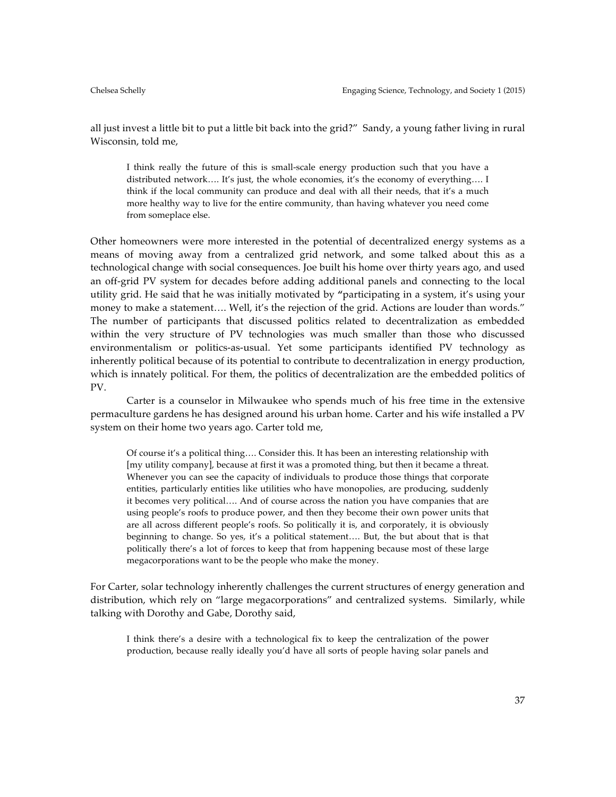all just invest a little bit to put a little bit back into the grid?" Sandy, a young father living in rural Wisconsin, told me,

I think really the future of this is small-scale energy production such that you have a distributed network…. It's just, the whole economies, it's the economy of everything…. I think if the local community can produce and deal with all their needs, that it's a much more healthy way to live for the entire community, than having whatever you need come from someplace else.

Other homeowners were more interested in the potential of decentralized energy systems as a means of moving away from a centralized grid network, and some talked about this as a technological change with social consequences. Joe built his home over thirty years ago, and used an off-grid PV system for decades before adding additional panels and connecting to the local utility grid. He said that he was initially motivated by **"**participating in a system, it's using your money to make a statement…. Well, it's the rejection of the grid. Actions are louder than words." The number of participants that discussed politics related to decentralization as embedded within the very structure of PV technologies was much smaller than those who discussed environmentalism or politics-as-usual. Yet some participants identified PV technology as inherently political because of its potential to contribute to decentralization in energy production, which is innately political. For them, the politics of decentralization are the embedded politics of PV.

Carter is a counselor in Milwaukee who spends much of his free time in the extensive permaculture gardens he has designed around his urban home. Carter and his wife installed a PV system on their home two years ago. Carter told me,

Of course it's a political thing…. Consider this. It has been an interesting relationship with [my utility company], because at first it was a promoted thing, but then it became a threat. Whenever you can see the capacity of individuals to produce those things that corporate entities, particularly entities like utilities who have monopolies, are producing, suddenly it becomes very political…. And of course across the nation you have companies that are using people's roofs to produce power, and then they become their own power units that are all across different people's roofs. So politically it is, and corporately, it is obviously beginning to change. So yes, it's a political statement…. But, the but about that is that politically there's a lot of forces to keep that from happening because most of these large megacorporations want to be the people who make the money.

For Carter, solar technology inherently challenges the current structures of energy generation and distribution, which rely on "large megacorporations" and centralized systems. Similarly, while talking with Dorothy and Gabe, Dorothy said,

I think there's a desire with a technological fix to keep the centralization of the power production, because really ideally you'd have all sorts of people having solar panels and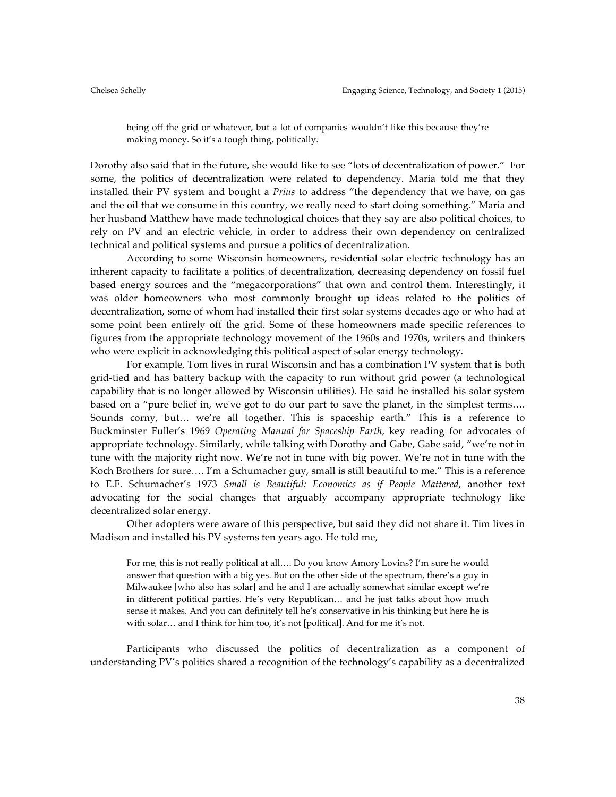being off the grid or whatever, but a lot of companies wouldn't like this because they're making money. So it's a tough thing, politically.

Dorothy also said that in the future, she would like to see "lots of decentralization of power." For some, the politics of decentralization were related to dependency. Maria told me that they installed their PV system and bought a *Prius* to address "the dependency that we have, on gas and the oil that we consume in this country, we really need to start doing something." Maria and her husband Matthew have made technological choices that they say are also political choices, to rely on PV and an electric vehicle, in order to address their own dependency on centralized technical and political systems and pursue a politics of decentralization.

According to some Wisconsin homeowners, residential solar electric technology has an inherent capacity to facilitate a politics of decentralization, decreasing dependency on fossil fuel based energy sources and the "megacorporations" that own and control them. Interestingly, it was older homeowners who most commonly brought up ideas related to the politics of decentralization, some of whom had installed their first solar systems decades ago or who had at some point been entirely off the grid. Some of these homeowners made specific references to figures from the appropriate technology movement of the 1960s and 1970s, writers and thinkers who were explicit in acknowledging this political aspect of solar energy technology.

For example, Tom lives in rural Wisconsin and has a combination PV system that is both grid-tied and has battery backup with the capacity to run without grid power (a technological capability that is no longer allowed by Wisconsin utilities). He said he installed his solar system based on a "pure belief in, we've got to do our part to save the planet, in the simplest terms…. Sounds corny, but… we're all together. This is spaceship earth." This is a reference to Buckminster Fuller's 1969 *Operating Manual for Spaceship Earth,* key reading for advocates of appropriate technology. Similarly, while talking with Dorothy and Gabe, Gabe said, "we're not in tune with the majority right now. We're not in tune with big power. We're not in tune with the Koch Brothers for sure…. I'm a Schumacher guy, small is still beautiful to me." This is a reference to E.F. Schumacher's 1973 *Small is Beautiful: Economics as if People Mattered*, another text advocating for the social changes that arguably accompany appropriate technology like decentralized solar energy.

Other adopters were aware of this perspective, but said they did not share it. Tim lives in Madison and installed his PV systems ten years ago. He told me,

For me, this is not really political at all…. Do you know Amory Lovins? I'm sure he would answer that question with a big yes. But on the other side of the spectrum, there's a guy in Milwaukee [who also has solar] and he and I are actually somewhat similar except we're in different political parties. He's very Republican… and he just talks about how much sense it makes. And you can definitely tell he's conservative in his thinking but here he is with solar… and I think for him too, it's not [political]. And for me it's not.

Participants who discussed the politics of decentralization as a component of understanding PV's politics shared a recognition of the technology's capability as a decentralized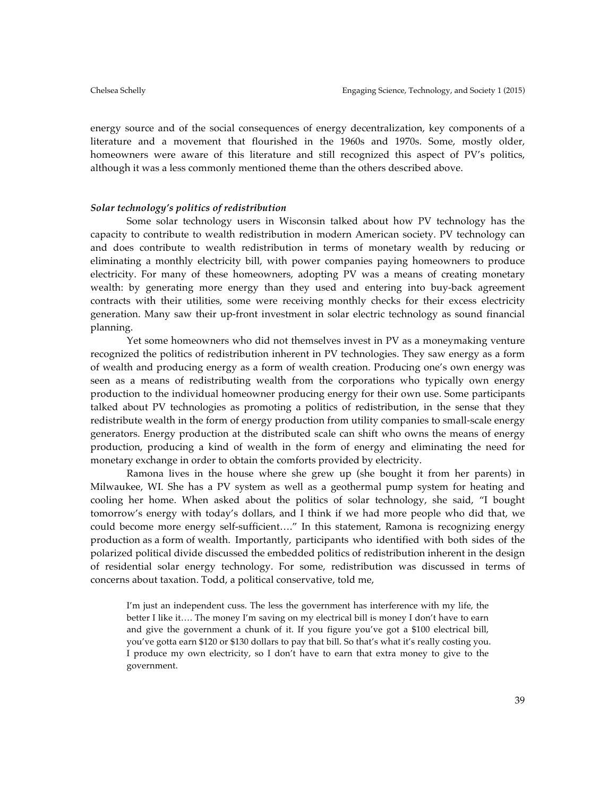energy source and of the social consequences of energy decentralization, key components of a literature and a movement that flourished in the 1960s and 1970s. Some, mostly older, homeowners were aware of this literature and still recognized this aspect of PV's politics, although it was a less commonly mentioned theme than the others described above.

#### *Solar technology's politics of redistribution*

Some solar technology users in Wisconsin talked about how PV technology has the capacity to contribute to wealth redistribution in modern American society. PV technology can and does contribute to wealth redistribution in terms of monetary wealth by reducing or eliminating a monthly electricity bill, with power companies paying homeowners to produce electricity. For many of these homeowners, adopting PV was a means of creating monetary wealth: by generating more energy than they used and entering into buy-back agreement contracts with their utilities, some were receiving monthly checks for their excess electricity generation. Many saw their up-front investment in solar electric technology as sound financial planning.

Yet some homeowners who did not themselves invest in PV as a moneymaking venture recognized the politics of redistribution inherent in PV technologies. They saw energy as a form of wealth and producing energy as a form of wealth creation. Producing one's own energy was seen as a means of redistributing wealth from the corporations who typically own energy production to the individual homeowner producing energy for their own use. Some participants talked about PV technologies as promoting a politics of redistribution, in the sense that they redistribute wealth in the form of energy production from utility companies to small-scale energy generators. Energy production at the distributed scale can shift who owns the means of energy production, producing a kind of wealth in the form of energy and eliminating the need for monetary exchange in order to obtain the comforts provided by electricity.

Ramona lives in the house where she grew up (she bought it from her parents) in Milwaukee, WI. She has a PV system as well as a geothermal pump system for heating and cooling her home. When asked about the politics of solar technology, she said, "I bought tomorrow's energy with today's dollars, and I think if we had more people who did that, we could become more energy self-sufficient…." In this statement, Ramona is recognizing energy production as a form of wealth. Importantly, participants who identified with both sides of the polarized political divide discussed the embedded politics of redistribution inherent in the design of residential solar energy technology. For some, redistribution was discussed in terms of concerns about taxation. Todd, a political conservative, told me,

I'm just an independent cuss. The less the government has interference with my life, the better I like it…. The money I'm saving on my electrical bill is money I don't have to earn and give the government a chunk of it. If you figure you've got a \$100 electrical bill, you've gotta earn \$120 or \$130 dollars to pay that bill. So that's what it's really costing you. I produce my own electricity, so I don't have to earn that extra money to give to the government.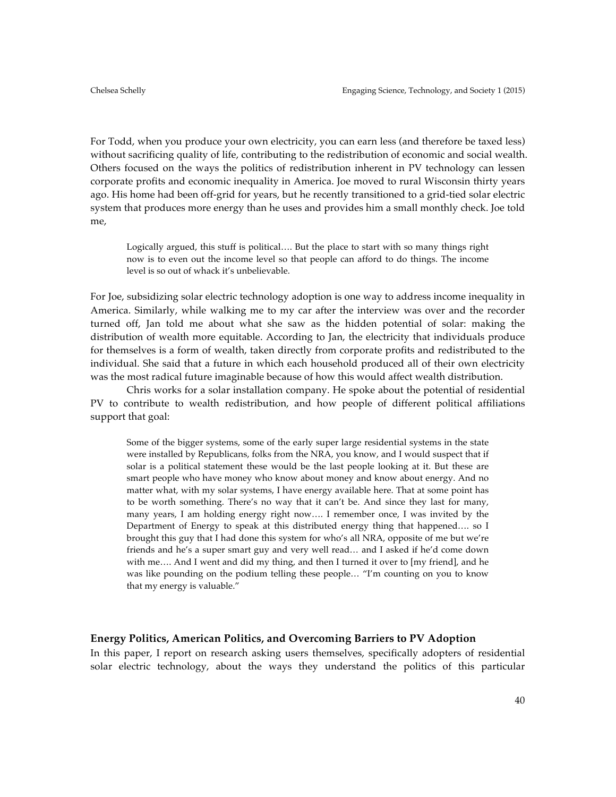For Todd, when you produce your own electricity, you can earn less (and therefore be taxed less) without sacrificing quality of life, contributing to the redistribution of economic and social wealth. Others focused on the ways the politics of redistribution inherent in PV technology can lessen corporate profits and economic inequality in America. Joe moved to rural Wisconsin thirty years ago. His home had been off-grid for years, but he recently transitioned to a grid-tied solar electric system that produces more energy than he uses and provides him a small monthly check. Joe told me,

Logically argued, this stuff is political…. But the place to start with so many things right now is to even out the income level so that people can afford to do things. The income level is so out of whack it's unbelievable.

For Joe, subsidizing solar electric technology adoption is one way to address income inequality in America. Similarly, while walking me to my car after the interview was over and the recorder turned off, Jan told me about what she saw as the hidden potential of solar: making the distribution of wealth more equitable. According to Jan, the electricity that individuals produce for themselves is a form of wealth, taken directly from corporate profits and redistributed to the individual. She said that a future in which each household produced all of their own electricity was the most radical future imaginable because of how this would affect wealth distribution.

Chris works for a solar installation company. He spoke about the potential of residential PV to contribute to wealth redistribution, and how people of different political affiliations support that goal:

Some of the bigger systems, some of the early super large residential systems in the state were installed by Republicans, folks from the NRA, you know, and I would suspect that if solar is a political statement these would be the last people looking at it. But these are smart people who have money who know about money and know about energy. And no matter what, with my solar systems, I have energy available here. That at some point has to be worth something. There's no way that it can't be. And since they last for many, many years, I am holding energy right now…. I remember once, I was invited by the Department of Energy to speak at this distributed energy thing that happened…. so I brought this guy that I had done this system for who's all NRA, opposite of me but we're friends and he's a super smart guy and very well read… and I asked if he'd come down with me…. And I went and did my thing, and then I turned it over to [my friend], and he was like pounding on the podium telling these people… "I'm counting on you to know that my energy is valuable."

# **Energy Politics, American Politics, and Overcoming Barriers to PV Adoption**

In this paper, I report on research asking users themselves, specifically adopters of residential solar electric technology, about the ways they understand the politics of this particular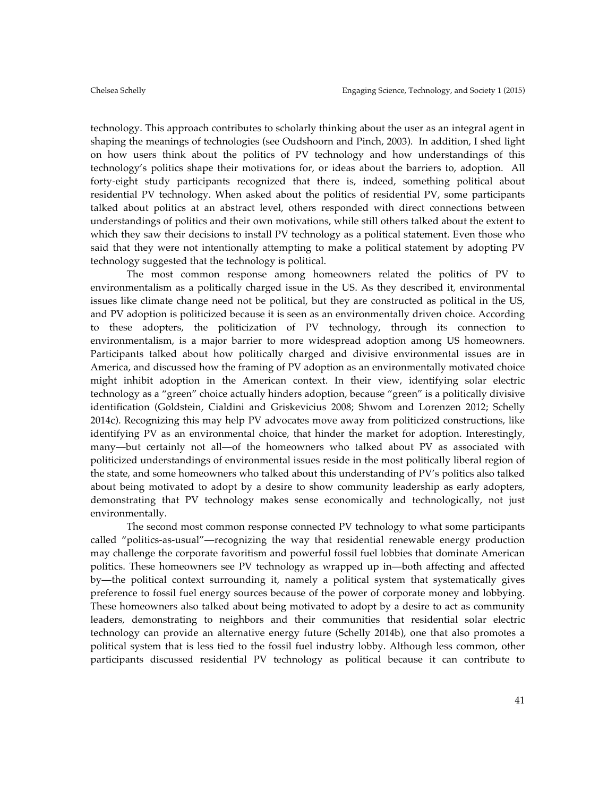technology. This approach contributes to scholarly thinking about the user as an integral agent in shaping the meanings of technologies (see Oudshoorn and Pinch, 2003). In addition, I shed light on how users think about the politics of PV technology and how understandings of this technology's politics shape their motivations for, or ideas about the barriers to, adoption. All forty-eight study participants recognized that there is, indeed, something political about residential PV technology. When asked about the politics of residential PV, some participants talked about politics at an abstract level, others responded with direct connections between understandings of politics and their own motivations, while still others talked about the extent to which they saw their decisions to install PV technology as a political statement. Even those who said that they were not intentionally attempting to make a political statement by adopting PV technology suggested that the technology is political.

The most common response among homeowners related the politics of PV to environmentalism as a politically charged issue in the US. As they described it, environmental issues like climate change need not be political, but they are constructed as political in the US, and PV adoption is politicized because it is seen as an environmentally driven choice. According to these adopters, the politicization of PV technology, through its connection to environmentalism, is a major barrier to more widespread adoption among US homeowners. Participants talked about how politically charged and divisive environmental issues are in America, and discussed how the framing of PV adoption as an environmentally motivated choice might inhibit adoption in the American context. In their view, identifying solar electric technology as a "green" choice actually hinders adoption, because "green" is a politically divisive identification (Goldstein, Cialdini and Griskevicius 2008; Shwom and Lorenzen 2012; Schelly 2014c). Recognizing this may help PV advocates move away from politicized constructions, like identifying PV as an environmental choice, that hinder the market for adoption. Interestingly, many—but certainly not all—of the homeowners who talked about PV as associated with politicized understandings of environmental issues reside in the most politically liberal region of the state, and some homeowners who talked about this understanding of PV's politics also talked about being motivated to adopt by a desire to show community leadership as early adopters, demonstrating that PV technology makes sense economically and technologically, not just environmentally.

The second most common response connected PV technology to what some participants called "politics-as-usual"—recognizing the way that residential renewable energy production may challenge the corporate favoritism and powerful fossil fuel lobbies that dominate American politics. These homeowners see PV technology as wrapped up in—both affecting and affected by—the political context surrounding it, namely a political system that systematically gives preference to fossil fuel energy sources because of the power of corporate money and lobbying. These homeowners also talked about being motivated to adopt by a desire to act as community leaders, demonstrating to neighbors and their communities that residential solar electric technology can provide an alternative energy future (Schelly 2014b), one that also promotes a political system that is less tied to the fossil fuel industry lobby. Although less common, other participants discussed residential PV technology as political because it can contribute to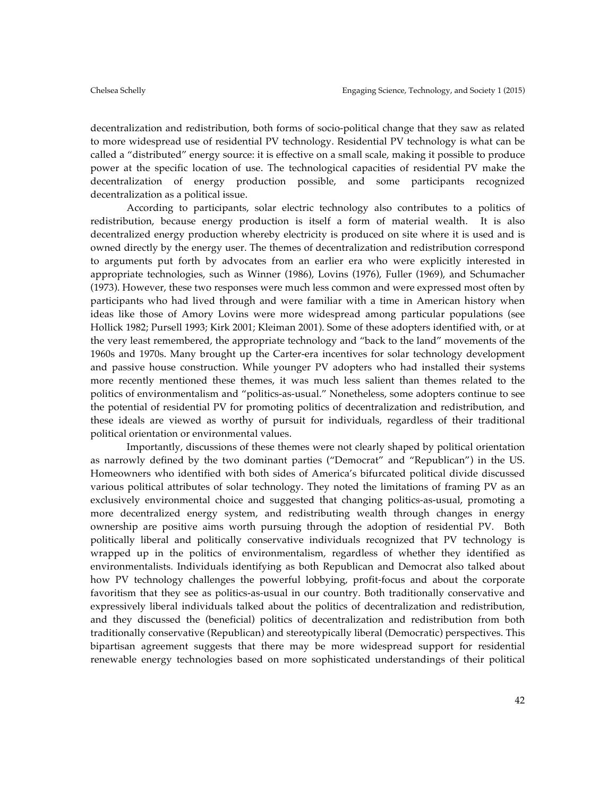decentralization and redistribution, both forms of socio-political change that they saw as related to more widespread use of residential PV technology. Residential PV technology is what can be called a "distributed" energy source: it is effective on a small scale, making it possible to produce power at the specific location of use. The technological capacities of residential PV make the decentralization of energy production possible, and some participants recognized decentralization as a political issue.

According to participants, solar electric technology also contributes to a politics of redistribution, because energy production is itself a form of material wealth. It is also decentralized energy production whereby electricity is produced on site where it is used and is owned directly by the energy user. The themes of decentralization and redistribution correspond to arguments put forth by advocates from an earlier era who were explicitly interested in appropriate technologies, such as Winner (1986), Lovins (1976), Fuller (1969), and Schumacher (1973). However, these two responses were much less common and were expressed most often by participants who had lived through and were familiar with a time in American history when ideas like those of Amory Lovins were more widespread among particular populations (see Hollick 1982; Pursell 1993; Kirk 2001; Kleiman 2001). Some of these adopters identified with, or at the very least remembered, the appropriate technology and "back to the land" movements of the 1960s and 1970s. Many brought up the Carter-era incentives for solar technology development and passive house construction. While younger PV adopters who had installed their systems more recently mentioned these themes, it was much less salient than themes related to the politics of environmentalism and "politics-as-usual." Nonetheless, some adopters continue to see the potential of residential PV for promoting politics of decentralization and redistribution, and these ideals are viewed as worthy of pursuit for individuals, regardless of their traditional political orientation or environmental values.

Importantly, discussions of these themes were not clearly shaped by political orientation as narrowly defined by the two dominant parties ("Democrat" and "Republican") in the US. Homeowners who identified with both sides of America's bifurcated political divide discussed various political attributes of solar technology. They noted the limitations of framing PV as an exclusively environmental choice and suggested that changing politics-as-usual, promoting a more decentralized energy system, and redistributing wealth through changes in energy ownership are positive aims worth pursuing through the adoption of residential PV. Both politically liberal and politically conservative individuals recognized that PV technology is wrapped up in the politics of environmentalism, regardless of whether they identified as environmentalists. Individuals identifying as both Republican and Democrat also talked about how PV technology challenges the powerful lobbying, profit-focus and about the corporate favoritism that they see as politics-as-usual in our country. Both traditionally conservative and expressively liberal individuals talked about the politics of decentralization and redistribution, and they discussed the (beneficial) politics of decentralization and redistribution from both traditionally conservative (Republican) and stereotypically liberal (Democratic) perspectives. This bipartisan agreement suggests that there may be more widespread support for residential renewable energy technologies based on more sophisticated understandings of their political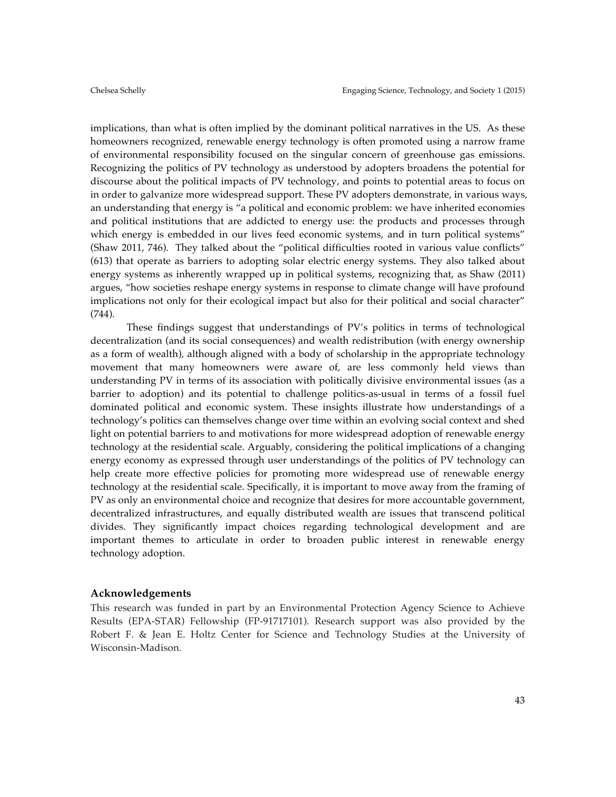implications, than what is often implied by the dominant political narratives in the US. As these homeowners recognized, renewable energy technology is often promoted using a narrow frame of environmental responsibility focused on the singular concern of greenhouse gas emissions. Recognizing the politics of PV technology as understood by adopters broadens the potential for discourse about the political impacts of PV technology, and points to potential areas to focus on in order to galvanize more widespread support. These PV adopters demonstrate, in various ways, an understanding that energy is "a political and economic problem: we have inherited economies and political institutions that are addicted to energy use: the products and processes through which energy is embedded in our lives feed economic systems, and in turn political systems" (Shaw 2011, 746). They talked about the "political difficulties rooted in various value conflicts" (613) that operate as barriers to adopting solar electric energy systems. They also talked about energy systems as inherently wrapped up in political systems, recognizing that, as Shaw (2011) argues, "how societies reshape energy systems in response to climate change will have profound implications not only for their ecological impact but also for their political and social character" (744).

These findings suggest that understandings of PV's politics in terms of technological decentralization (and its social consequences) and wealth redistribution (with energy ownership as a form of wealth), although aligned with a body of scholarship in the appropriate technology movement that many homeowners were aware of, are less commonly held views than understanding PV in terms of its association with politically divisive environmental issues (as a barrier to adoption) and its potential to challenge politics-as-usual in terms of a fossil fuel dominated political and economic system. These insights illustrate how understandings of a technology's politics can themselves change over time within an evolving social context and shed light on potential barriers to and motivations for more widespread adoption of renewable energy technology at the residential scale. Arguably, considering the political implications of a changing energy economy as expressed through user understandings of the politics of PV technology can help create more effective policies for promoting more widespread use of renewable energy technology at the residential scale. Specifically, it is important to move away from the framing of PV as only an environmental choice and recognize that desires for more accountable government, decentralized infrastructures, and equally distributed wealth are issues that transcend political divides. They significantly impact choices regarding technological development and are important themes to articulate in order to broaden public interest in renewable energy technology adoption.

#### **Acknowledgements**

This research was funded in part by an Environmental Protection Agency Science to Achieve Results (EPA-STAR) Fellowship (FP-91717101). Research support was also provided by the Robert F. & Jean E. Holtz Center for Science and Technology Studies at the University of Wisconsin-Madison.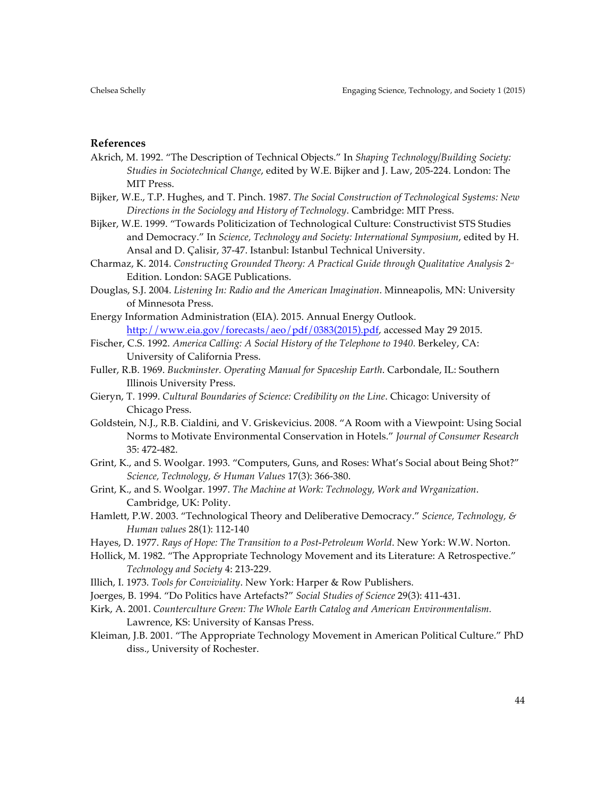# **References**

- Akrich, M. 1992. "The Description of Technical Objects." In *Shaping Technology/Building Society: Studies in Sociotechnical Change*, edited by W.E. Bijker and J. Law, 205-224. London: The MIT Press.
- Bijker, W.E., T.P. Hughes, and T. Pinch. 1987. *The Social Construction of Technological Systems: New Directions in the Sociology and History of Technology*. Cambridge: MIT Press.
- Bijker, W.E. 1999. "Towards Politicization of Technological Culture: Constructivist STS Studies and Democracy." In *Science, Technology and Society: International Symposium*, edited by H. Ansal and D. Çalisir, 37-47. Istanbul: Istanbul Technical University.
- Charmaz, K. 2014. *Constructing Grounded Theory: A Practical Guide through Qualitative Analysis* 2nd Edition. London: SAGE Publications.
- Douglas, S.J. 2004. *Listening In: Radio and the American Imagination*. Minneapolis, MN: University of Minnesota Press.
- Energy Information Administration (EIA). 2015. Annual Energy Outlook. http://www.eia.gov/forecasts/aeo/pdf/0383(2015).pdf, accessed May 29 2015.
- Fischer, C.S. 1992. *America Calling: A Social History of the Telephone to 1940. Berkeley, CA*: University of California Press.
- Fuller, R.B. 1969. *Buckminster. Operating Manual for Spaceship Earth*. Carbondale, IL: Southern Illinois University Press.
- Gieryn, T. 1999. *Cultural Boundaries of Science: Credibility on the Line*. Chicago: University of Chicago Press.
- Goldstein, N.J., R.B. Cialdini, and V. Griskevicius. 2008. "A Room with a Viewpoint: Using Social Norms to Motivate Environmental Conservation in Hotels." *Journal of Consumer Research*  35: 472-482.
- Grint, K., and S. Woolgar. 1993. "Computers, Guns, and Roses: What's Social about Being Shot?" *Science, Technology, & Human Values* 17(3): 366-380.
- Grint, K., and S. Woolgar. 1997. *The Machine at Work: Technology, Work and Wrganization*. Cambridge, UK: Polity.
- Hamlett, P.W. 2003. "Technological Theory and Deliberative Democracy." *Science, Technology, & Human values* 28(1): 112-140
- Hayes, D. 1977. *Rays of Hope: The Transition to a Post-Petroleum World*. New York: W.W. Norton.
- Hollick, M. 1982. "The Appropriate Technology Movement and its Literature: A Retrospective." *Technology and Society* 4: 213-229.
- Illich, I. 1973. *Tools for Conviviality*. New York: Harper & Row Publishers.
- Joerges, B. 1994. "Do Politics have Artefacts?" *Social Studies of Science* 29(3): 411-431.
- Kirk, A. 2001. *Counterculture Green: The Whole Earth Catalog and American Environmentalism.* Lawrence, KS: University of Kansas Press.
- Kleiman, J.B. 2001. "The Appropriate Technology Movement in American Political Culture." PhD diss., University of Rochester.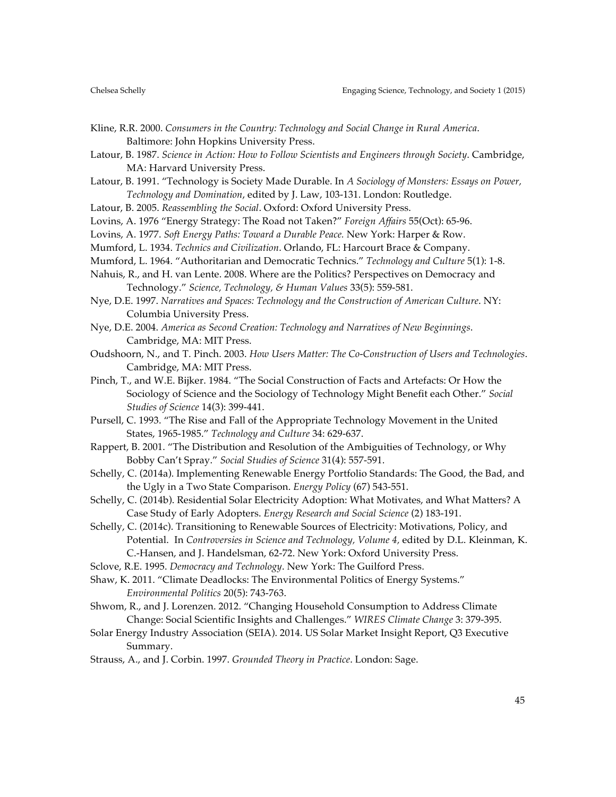- Kline, R.R. 2000. *Consumers in the Country: Technology and Social Change in Rural America*.
	- Baltimore: John Hopkins University Press.
- Latour, B. 1987. *Science in Action: How to Follow Scientists and Engineers through Society*. Cambridge, MA: Harvard University Press.
- Latour, B. 1991. "Technology is Society Made Durable. In *A Sociology of Monsters: Essays on Power, Technology and Domination*, edited by J. Law, 103-131. London: Routledge.
- Latour, B. 2005. *Reassembling the Social*. Oxford: Oxford University Press.
- Lovins, A. 1976 "Energy Strategy: The Road not Taken?" *Foreign Affairs* 55(Oct): 65-96.
- Lovins, A. 1977. *Soft Energy Paths: Toward a Durable Peace.* New York: Harper & Row.
- Mumford, L. 1934. *Technics and Civilization*. Orlando, FL: Harcourt Brace & Company.
- Mumford, L. 1964. "Authoritarian and Democratic Technics." *Technology and Culture* 5(1): 1-8.
- Nahuis, R., and H. van Lente. 2008. Where are the Politics? Perspectives on Democracy and Technology." *Science, Technology, & Human Values* 33(5): 559-581.
- Nye, D.E. 1997. *Narratives and Spaces: Technology and the Construction of American Culture*. NY: Columbia University Press.
- Nye, D.E. 2004. *America as Second Creation: Technology and Narratives of New Beginnings*. Cambridge, MA: MIT Press.
- Oudshoorn, N., and T. Pinch. 2003. *How Users Matter: The Co-Construction of Users and Technologies*. Cambridge, MA: MIT Press.
- Pinch, T., and W.E. Bijker. 1984. "The Social Construction of Facts and Artefacts: Or How the Sociology of Science and the Sociology of Technology Might Benefit each Other." *Social Studies of Science* 14(3): 399-441.
- Pursell, C. 1993. "The Rise and Fall of the Appropriate Technology Movement in the United States, 1965-1985." *Technology and Culture* 34: 629-637.
- Rappert, B. 2001. "The Distribution and Resolution of the Ambiguities of Technology, or Why Bobby Can't Spray." *Social Studies of Science* 31(4): 557-591.
- Schelly, C. (2014a). Implementing Renewable Energy Portfolio Standards: The Good, the Bad, and the Ugly in a Two State Comparison. *Energy Policy* (67) 543-551.
- Schelly, C. (2014b). Residential Solar Electricity Adoption: What Motivates, and What Matters? A Case Study of Early Adopters. *Energy Research and Social Science* (2) 183-191.
- Schelly, C. (2014c). Transitioning to Renewable Sources of Electricity: Motivations, Policy, and Potential. In *Controversies in Science and Technology, Volume 4*, edited by D.L. Kleinman, K. C.-Hansen, and J. Handelsman, 62-72. New York: Oxford University Press.
- Sclove, R.E. 1995. *Democracy and Technology*. New York: The Guilford Press.
- Shaw, K. 2011. "Climate Deadlocks: The Environmental Politics of Energy Systems." *Environmental Politics* 20(5): 743-763.
- Shwom, R., and J. Lorenzen. 2012. "Changing Household Consumption to Address Climate Change: Social Scientific Insights and Challenges." *WIRES Climate Change* 3: 379-395.
- Solar Energy Industry Association (SEIA). 2014. US Solar Market Insight Report, Q3 Executive Summary.
- Strauss, A., and J. Corbin. 1997. *Grounded Theory in Practice*. London: Sage.